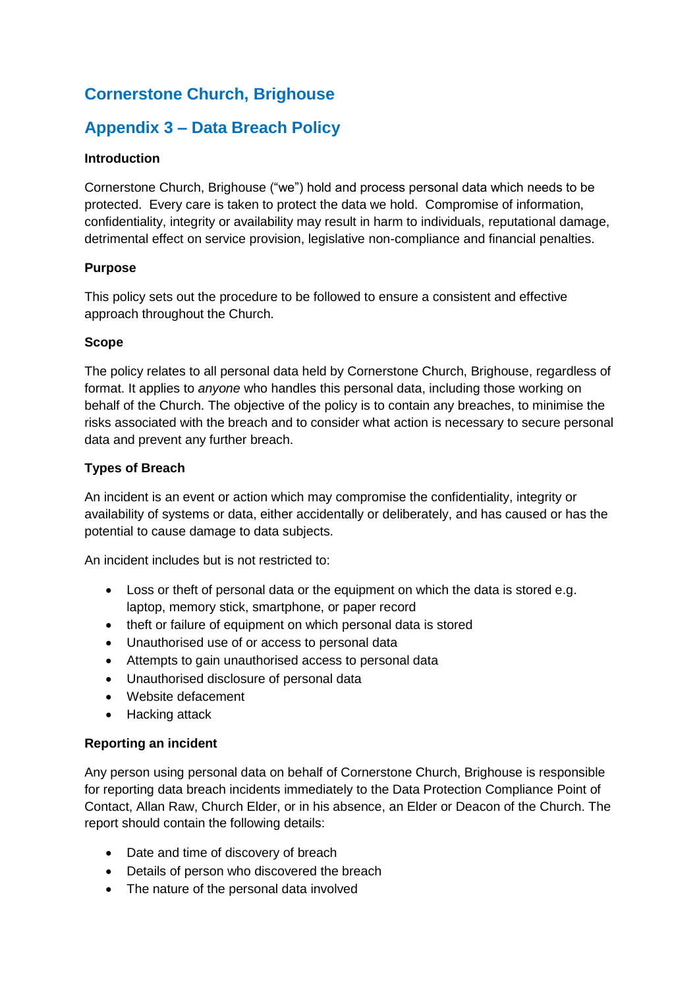# **Cornerstone Church, Brighouse**

# **Appendix 3 – Data Breach Policy**

# **Introduction**

Cornerstone Church, Brighouse ("we") hold and process personal data which needs to be protected. Every care is taken to protect the data we hold. Compromise of information, confidentiality, integrity or availability may result in harm to individuals, reputational damage, detrimental effect on service provision, legislative non-compliance and financial penalties.

## **Purpose**

This policy sets out the procedure to be followed to ensure a consistent and effective approach throughout the Church.

## **Scope**

The policy relates to all personal data held by Cornerstone Church, Brighouse, regardless of format. It applies to *anyone* who handles this personal data, including those working on behalf of the Church. The objective of the policy is to contain any breaches, to minimise the risks associated with the breach and to consider what action is necessary to secure personal data and prevent any further breach.

## **Types of Breach**

An incident is an event or action which may compromise the confidentiality, integrity or availability of systems or data, either accidentally or deliberately, and has caused or has the potential to cause damage to data subjects.

An incident includes but is not restricted to:

- Loss or theft of personal data or the equipment on which the data is stored e.g. laptop, memory stick, smartphone, or paper record
- theft or failure of equipment on which personal data is stored
- Unauthorised use of or access to personal data
- Attempts to gain unauthorised access to personal data
- Unauthorised disclosure of personal data
- Website defacement
- Hacking attack

#### **Reporting an incident**

Any person using personal data on behalf of Cornerstone Church, Brighouse is responsible for reporting data breach incidents immediately to the Data Protection Compliance Point of Contact, Allan Raw, Church Elder, or in his absence, an Elder or Deacon of the Church. The report should contain the following details:

- Date and time of discovery of breach
- Details of person who discovered the breach
- The nature of the personal data involved